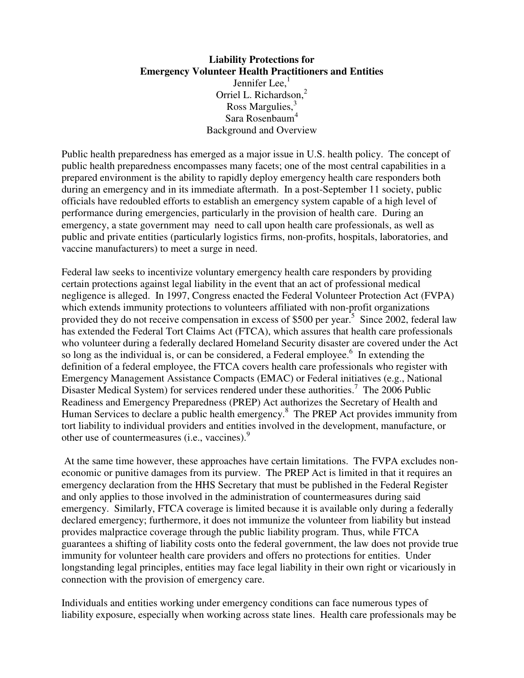# **Liability Protections for Emergency Volunteer Health Practitioners and Entities**  Jennifer Lee, $<sup>1</sup>$ </sup> Orriel L. Richardson.<sup>2</sup> Ross Margulies,<sup>3</sup> Sara Rosenbaum<sup>4</sup> Background and Overview

Public health preparedness has emerged as a major issue in U.S. health policy. The concept of public health preparedness encompasses many facets; one of the most central capabilities in a prepared environment is the ability to rapidly deploy emergency health care responders both during an emergency and in its immediate aftermath. In a post-September 11 society, public officials have redoubled efforts to establish an emergency system capable of a high level of performance during emergencies, particularly in the provision of health care. During an emergency, a state government may need to call upon health care professionals, as well as public and private entities (particularly logistics firms, non-profits, hospitals, laboratories, and vaccine manufacturers) to meet a surge in need.

Federal law seeks to incentivize voluntary emergency health care responders by providing certain protections against legal liability in the event that an act of professional medical negligence is alleged. In 1997, Congress enacted the Federal Volunteer Protection Act (FVPA) which extends immunity protections to volunteers affiliated with non-profit organizations provided they do not receive compensation in excess of \$500 per year.<sup>5</sup> Since 2002, federal law has extended the Federal Tort Claims Act (FTCA), which assures that health care professionals who volunteer during a federally declared Homeland Security disaster are covered under the Act so long as the individual is, or can be considered, a Federal employee. $6$  In extending the definition of a federal employee, the FTCA covers health care professionals who register with Emergency Management Assistance Compacts (EMAC) or Federal initiatives (e.g., National Disaster Medical System) for services rendered under these authorities.<sup>7</sup> The 2006 Public Readiness and Emergency Preparedness (PREP) Act authorizes the Secretary of Health and Human Services to declare a public health emergency.<sup>8</sup> The PREP Act provides immunity from tort liability to individual providers and entities involved in the development, manufacture, or other use of countermeasures (i.e., vaccines).<sup>9</sup>

 At the same time however, these approaches have certain limitations. The FVPA excludes noneconomic or punitive damages from its purview. The PREP Act is limited in that it requires an emergency declaration from the HHS Secretary that must be published in the Federal Register and only applies to those involved in the administration of countermeasures during said emergency. Similarly, FTCA coverage is limited because it is available only during a federally declared emergency; furthermore, it does not immunize the volunteer from liability but instead provides malpractice coverage through the public liability program. Thus, while FTCA guarantees a shifting of liability costs onto the federal government, the law does not provide true immunity for volunteer health care providers and offers no protections for entities. Under longstanding legal principles, entities may face legal liability in their own right or vicariously in connection with the provision of emergency care.

Individuals and entities working under emergency conditions can face numerous types of liability exposure, especially when working across state lines. Health care professionals may be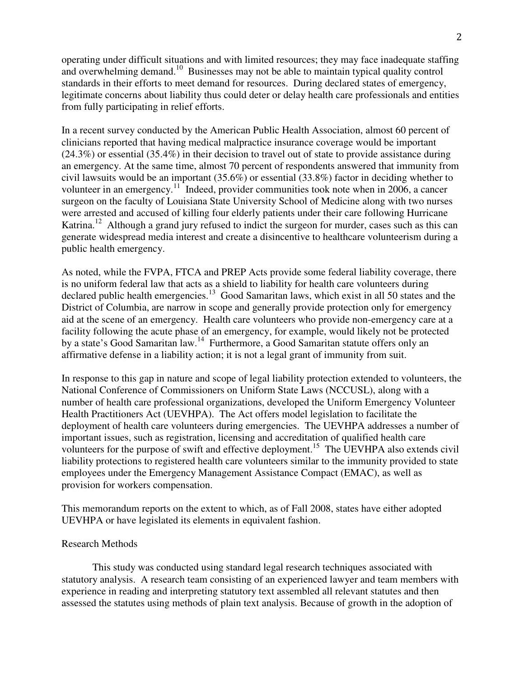operating under difficult situations and with limited resources; they may face inadequate staffing and overwhelming demand.<sup>10</sup> Businesses may not be able to maintain typical quality control standards in their efforts to meet demand for resources. During declared states of emergency, legitimate concerns about liability thus could deter or delay health care professionals and entities from fully participating in relief efforts.

In a recent survey conducted by the American Public Health Association, almost 60 percent of clinicians reported that having medical malpractice insurance coverage would be important (24.3%) or essential (35.4%) in their decision to travel out of state to provide assistance during an emergency. At the same time, almost 70 percent of respondents answered that immunity from civil lawsuits would be an important (35.6%) or essential (33.8%) factor in deciding whether to volunteer in an emergency.<sup>11</sup> Indeed, provider communities took note when in 2006, a cancer surgeon on the faculty of Louisiana State University School of Medicine along with two nurses were arrested and accused of killing four elderly patients under their care following Hurricane Katrina.<sup>12</sup> Although a grand jury refused to indict the surgeon for murder, cases such as this can generate widespread media interest and create a disincentive to healthcare volunteerism during a public health emergency.

As noted, while the FVPA, FTCA and PREP Acts provide some federal liability coverage, there is no uniform federal law that acts as a shield to liability for health care volunteers during declared public health emergencies.<sup>13</sup> Good Samaritan laws, which exist in all 50 states and the District of Columbia, are narrow in scope and generally provide protection only for emergency aid at the scene of an emergency. Health care volunteers who provide non-emergency care at a facility following the acute phase of an emergency, for example, would likely not be protected by a state's Good Samaritan law.<sup>14</sup> Furthermore, a Good Samaritan statute offers only an affirmative defense in a liability action; it is not a legal grant of immunity from suit.

In response to this gap in nature and scope of legal liability protection extended to volunteers, the National Conference of Commissioners on Uniform State Laws (NCCUSL), along with a number of health care professional organizations, developed the Uniform Emergency Volunteer Health Practitioners Act (UEVHPA). The Act offers model legislation to facilitate the deployment of health care volunteers during emergencies. The UEVHPA addresses a number of important issues, such as registration, licensing and accreditation of qualified health care volunteers for the purpose of swift and effective deployment.<sup>15</sup> The UEVHPA also extends civil liability protections to registered health care volunteers similar to the immunity provided to state employees under the Emergency Management Assistance Compact (EMAC), as well as provision for workers compensation.

This memorandum reports on the extent to which, as of Fall 2008, states have either adopted UEVHPA or have legislated its elements in equivalent fashion.

### Research Methods

 This study was conducted using standard legal research techniques associated with statutory analysis. A research team consisting of an experienced lawyer and team members with experience in reading and interpreting statutory text assembled all relevant statutes and then assessed the statutes using methods of plain text analysis. Because of growth in the adoption of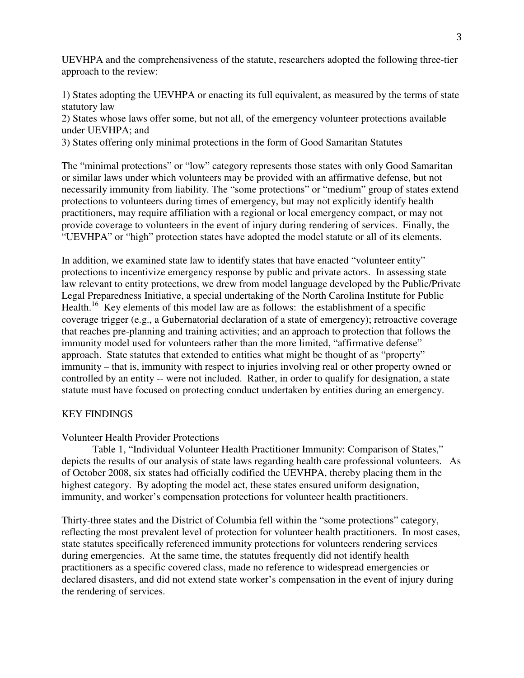UEVHPA and the comprehensiveness of the statute, researchers adopted the following three-tier approach to the review:

1) States adopting the UEVHPA or enacting its full equivalent, as measured by the terms of state statutory law

2) States whose laws offer some, but not all, of the emergency volunteer protections available under UEVHPA; and

3) States offering only minimal protections in the form of Good Samaritan Statutes

The "minimal protections" or "low" category represents those states with only Good Samaritan or similar laws under which volunteers may be provided with an affirmative defense, but not necessarily immunity from liability. The "some protections" or "medium" group of states extend protections to volunteers during times of emergency, but may not explicitly identify health practitioners, may require affiliation with a regional or local emergency compact, or may not provide coverage to volunteers in the event of injury during rendering of services. Finally, the "UEVHPA" or "high" protection states have adopted the model statute or all of its elements.

In addition, we examined state law to identify states that have enacted "volunteer entity" protections to incentivize emergency response by public and private actors. In assessing state law relevant to entity protections, we drew from model language developed by the Public/Private Legal Preparedness Initiative, a special undertaking of the North Carolina Institute for Public Health.<sup>16</sup> Key elements of this model law are as follows: the establishment of a specific coverage trigger (e.g., a Gubernatorial declaration of a state of emergency); retroactive coverage that reaches pre-planning and training activities; and an approach to protection that follows the immunity model used for volunteers rather than the more limited, "affirmative defense" approach. State statutes that extended to entities what might be thought of as "property" immunity – that is, immunity with respect to injuries involving real or other property owned or controlled by an entity -- were not included. Rather, in order to qualify for designation, a state statute must have focused on protecting conduct undertaken by entities during an emergency.

### KEY FINDINGS

### Volunteer Health Provider Protections

 Table 1, "Individual Volunteer Health Practitioner Immunity: Comparison of States," depicts the results of our analysis of state laws regarding health care professional volunteers. As of October 2008, six states had officially codified the UEVHPA, thereby placing them in the highest category. By adopting the model act, these states ensured uniform designation, immunity, and worker's compensation protections for volunteer health practitioners.

Thirty-three states and the District of Columbia fell within the "some protections" category, reflecting the most prevalent level of protection for volunteer health practitioners. In most cases, state statutes specifically referenced immunity protections for volunteers rendering services during emergencies. At the same time, the statutes frequently did not identify health practitioners as a specific covered class, made no reference to widespread emergencies or declared disasters, and did not extend state worker's compensation in the event of injury during the rendering of services.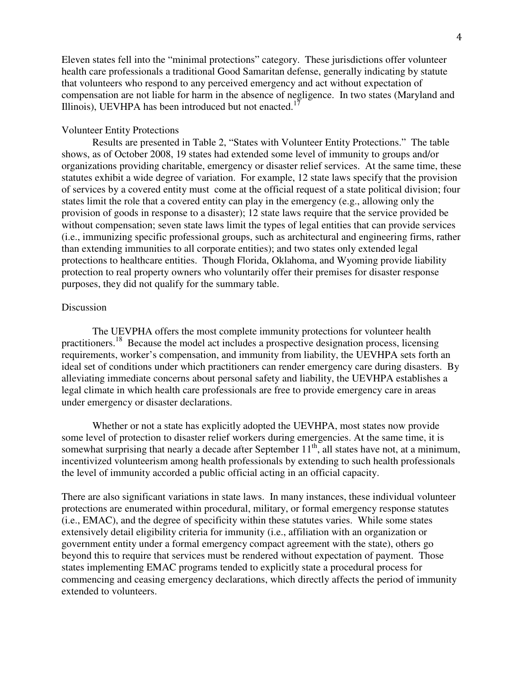Eleven states fell into the "minimal protections" category. These jurisdictions offer volunteer health care professionals a traditional Good Samaritan defense, generally indicating by statute that volunteers who respond to any perceived emergency and act without expectation of compensation are not liable for harm in the absence of negligence. In two states (Maryland and Illinois), UEVHPA has been introduced but not enacted.<sup>17</sup>

## Volunteer Entity Protections

 Results are presented in Table 2, "States with Volunteer Entity Protections." The table shows, as of October 2008, 19 states had extended some level of immunity to groups and/or organizations providing charitable, emergency or disaster relief services. At the same time, these statutes exhibit a wide degree of variation. For example, 12 state laws specify that the provision of services by a covered entity must come at the official request of a state political division; four states limit the role that a covered entity can play in the emergency (e.g., allowing only the provision of goods in response to a disaster); 12 state laws require that the service provided be without compensation; seven state laws limit the types of legal entities that can provide services (i.e., immunizing specific professional groups, such as architectural and engineering firms, rather than extending immunities to all corporate entities); and two states only extended legal protections to healthcare entities. Though Florida, Oklahoma, and Wyoming provide liability protection to real property owners who voluntarily offer their premises for disaster response purposes, they did not qualify for the summary table.

#### **Discussion**

 The UEVPHA offers the most complete immunity protections for volunteer health practitioners.<sup>18</sup> Because the model act includes a prospective designation process, licensing requirements, worker's compensation, and immunity from liability, the UEVHPA sets forth an ideal set of conditions under which practitioners can render emergency care during disasters. By alleviating immediate concerns about personal safety and liability, the UEVHPA establishes a legal climate in which health care professionals are free to provide emergency care in areas under emergency or disaster declarations.

 Whether or not a state has explicitly adopted the UEVHPA, most states now provide some level of protection to disaster relief workers during emergencies. At the same time, it is somewhat surprising that nearly a decade after September  $11<sup>th</sup>$ , all states have not, at a minimum, incentivized volunteerism among health professionals by extending to such health professionals the level of immunity accorded a public official acting in an official capacity.

There are also significant variations in state laws. In many instances, these individual volunteer protections are enumerated within procedural, military, or formal emergency response statutes (i.e., EMAC), and the degree of specificity within these statutes varies. While some states extensively detail eligibility criteria for immunity (i.e., affiliation with an organization or government entity under a formal emergency compact agreement with the state), others go beyond this to require that services must be rendered without expectation of payment. Those states implementing EMAC programs tended to explicitly state a procedural process for commencing and ceasing emergency declarations, which directly affects the period of immunity extended to volunteers.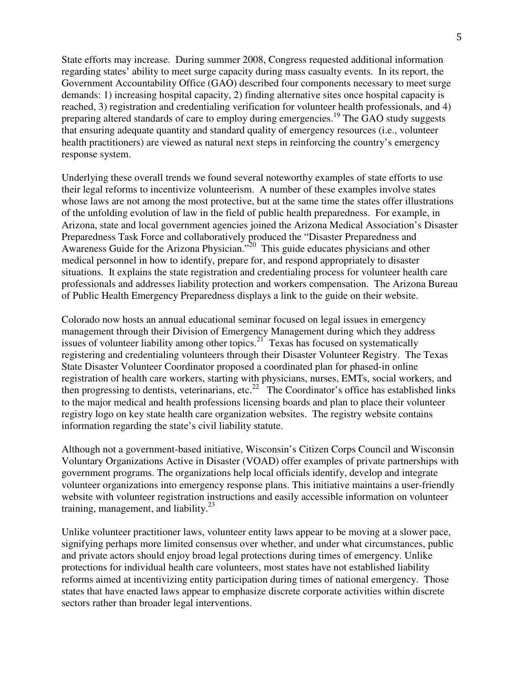State efforts may increase. During summer 2008, Congress requested additional information regarding states' ability to meet surge capacity during mass casualty events. In its report, the Government Accountability Office (GAO) described four components necessary to meet surge demands: 1) increasing hospital capacity, 2) finding alternative sites once hospital capacity is reached, 3) registration and credentialing verification for volunteer health professionals, and 4) preparing altered standards of care to employ during emergencies.<sup>19</sup> The GAO study suggests that ensuring adequate quantity and standard quality of emergency resources (i.e., volunteer health practitioners) are viewed as natural next steps in reinforcing the country's emergency response system.

Underlying these overall trends we found several noteworthy examples of state efforts to use their legal reforms to incentivize volunteerism. A number of these examples involve states whose laws are not among the most protective, but at the same time the states offer illustrations of the unfolding evolution of law in the field of public health preparedness. For example, in Arizona, state and local government agencies joined the Arizona Medical Association's Disaster Preparedness Task Force and collaboratively produced the "Disaster Preparedness and Awareness Guide for the Arizona Physician."<sup>20</sup> This guide educates physicians and other medical personnel in how to identify, prepare for, and respond appropriately to disaster situations. It explains the state registration and credentialing process for volunteer health care professionals and addresses liability protection and workers compensation. The Arizona Bureau of Public Health Emergency Preparedness displays a link to the guide on their website.

Colorado now hosts an annual educational seminar focused on legal issues in emergency management through their Division of Emergency Management during which they address issues of volunteer liability among other topics.<sup>21</sup> Texas has focused on systematically registering and credentialing volunteers through their Disaster Volunteer Registry. The Texas State Disaster Volunteer Coordinator proposed a coordinated plan for phased-in online registration of health care workers, starting with physicians, nurses, EMTs, social workers, and then progressing to dentists, veterinarians, etc.<sup>22</sup> The Coordinator's office has established links to the major medical and health professions licensing boards and plan to place their volunteer registry logo on key state health care organization websites. The registry website contains information regarding the state's civil liability statute.

Although not a government-based initiative, Wisconsin's Citizen Corps Council and Wisconsin Voluntary Organizations Active in Disaster (VOAD) offer examples of private partnerships with government programs. The organizations help local officials identify, develop and integrate volunteer organizations into emergency response plans. This initiative maintains a user-friendly website with volunteer registration instructions and easily accessible information on volunteer training, management, and liability. $2^3$ 

Unlike volunteer practitioner laws, volunteer entity laws appear to be moving at a slower pace, signifying perhaps more limited consensus over whether, and under what circumstances, public and private actors should enjoy broad legal protections during times of emergency. Unlike protections for individual health care volunteers, most states have not established liability reforms aimed at incentivizing entity participation during times of national emergency. Those states that have enacted laws appear to emphasize discrete corporate activities within discrete sectors rather than broader legal interventions.